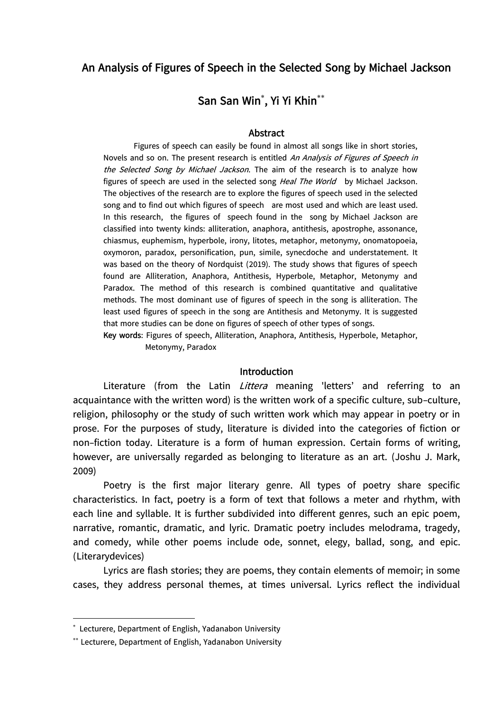## **An Analysis of Figures of Speech in the Selected Song by Michael Jackson**

# **San San Win , Yi Yi Khin**

#### **Abstract**

Figures of speech can easily be found in almost all songs like in short stories, Novels and so on. The present research is entitled An Analysis of Figures of Speech in the Selected Song by Michael Jackson. The aim of the research is to analyze how figures of speech are used in the selected song Heal The World by Michael Jackson. The objectives of the research are to explore the figures of speech used in the selected song and to find out which figures of speech are most used and which are least used. In this research, the figures of speech found in the song by Michael Jackson are classified into twenty kinds: alliteration, anaphora, antithesis, apostrophe, assonance, chiasmus, euphemism, hyperbole, irony, litotes, metaphor, metonymy, onomatopoeia, oxymoron, paradox, personification, pun, simile, synecdoche and understatement. It was based on the theory of Nordquist (2019). The study shows that figures of speech found are Alliteration, Anaphora, Antithesis, Hyperbole, Metaphor, Metonymy and Paradox. The method of this research is combined quantitative and qualitative methods. The most dominant use of figures of speech in the song is alliteration. The least used figures of speech in the song are Antithesis and Metonymy. It is suggested that more studies can be done on figures of speech of other types of songs.

**Key words**: Figures of speech, Alliteration, Anaphora, Antithesis, Hyperbole, Metaphor, Metonymy, Paradox

#### **Introduction**

Literature (from the Latin Littera meaning 'letters' and referring to an acquaintance with the written word) is the written work of a specific culture, sub-culture, religion, philosophy or the study of such written work which may appear in poetry or in prose. For the purposes of study, literature is divided into the categories of fiction or non-fiction today. Literature is a form of human expression. Certain forms of writing, however, are universally regarded as belonging to literature as an art. (Joshu J. Mark, 2009)

Poetry is the first major literary genre. All types of poetry share specific characteristics. In fact, poetry is a form of text that follows a meter and rhythm, with each line and syllable. It is further subdivided into different genres, such an epic poem, narrative, romantic, dramatic, and lyric. Dramatic poetry includes melodrama, tragedy, and comedy, while other poems include ode, sonnet, elegy, ballad, song, and epic. (Literarydevices)

Lyrics are flash stories; they are poems, they contain elements of memoir; in some cases, they address personal themes, at times universal. Lyrics reflect the individual

l

 Lecturere, Department of English, Yadanabon University

Lecturere, Department of English, Yadanabon University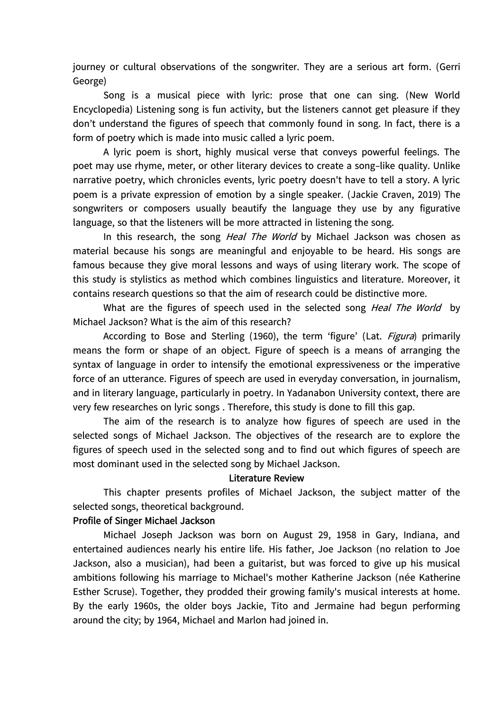journey or cultural observations of the songwriter. They are a serious art form. (Gerri George)

Song is a musical piece with lyric: prose that one can sing. (New World Encyclopedia) Listening song is fun activity, but the listeners cannot get pleasure if they don't understand the figures of speech that commonly found in song. In fact, there is a form of poetry which is made into music called a lyric poem.

A lyric poem is short, highly musical verse that conveys powerful feelings. The poet may use rhyme, meter, or other literary devices to create a song-like quality. Unlike narrative poetry, which chronicles events, lyric poetry doesn't have to tell a story. A lyric poem is a private expression of emotion by a single speaker. (Jackie Craven, 2019) The songwriters or composers usually beautify the language they use by any figurative language, so that the listeners will be more attracted in listening the song.

In this research, the song *Heal The World* by Michael Jackson was chosen as material because his songs are meaningful and enjoyable to be heard. His songs are famous because they give moral lessons and ways of using literary work. The scope of this study is stylistics as method which combines linguistics and literature. Moreover, it contains research questions so that the aim of research could be distinctive more.

What are the figures of speech used in the selected song Heal The World by Michael Jackson? What is the aim of this research?

According to Bose and Sterling (1960), the term 'figure' (Lat. Figura) primarily means the form or shape of an object. Figure of speech is a means of arranging the syntax of language in order to intensify the emotional expressiveness or the imperative force of an utterance. Figures of speech are used in everyday conversation, in journalism, and in literary language, particularly in poetry. In Yadanabon University context, there are very few researches on lyric songs . Therefore, this study is done to fill this gap.

The aim of the research is to analyze how figures of speech are used in the selected songs of Michael Jackson. The objectives of the research are to explore the figures of speech used in the selected song and to find out which figures of speech are most dominant used in the selected song by Michael Jackson.

#### **Literature Review**

This chapter presents profiles of Michael Jackson, the subject matter of the selected songs, theoretical background.

#### **Profile of Singer Michael Jackson**

Michael Joseph Jackson was born on August 29, 1958 in Gary, Indiana, and entertained audiences nearly his entire life. His father, Joe Jackson (no relation to Joe Jackson, also a musician), had been a guitarist, but was forced to give up his musical ambitions following his marriage to Michael's mother Katherine Jackson (née Katherine Esther Scruse). Together, they prodded their growing family's musical interests at home. By the early 1960s, the older boys Jackie, Tito and Jermaine had begun performing around the city; by 1964, Michael and Marlon had joined in.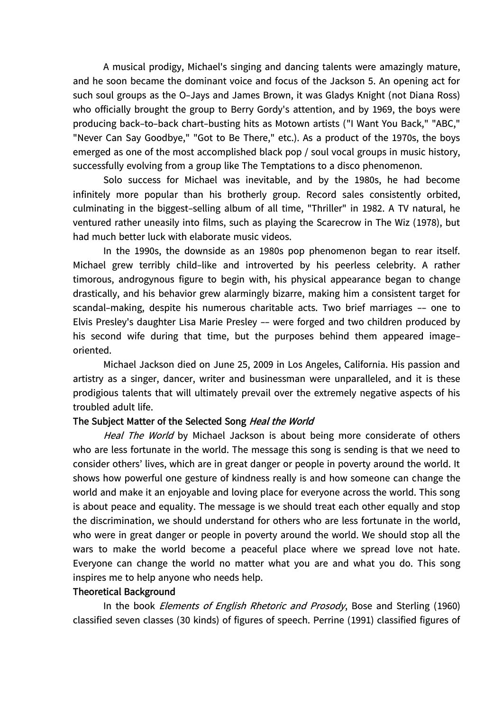A musical prodigy, Michael's singing and dancing talents were amazingly mature, and he soon became the dominant voice and focus of the Jackson 5. An opening act for such soul groups as the O-Jays and James Brown, it was Gladys Knight (not Diana Ross) who officially brought the group to Berry Gordy's attention, and by 1969, the boys were producing back-to-back chart-busting hits as Motown artists ("I Want You Back," "ABC," "Never Can Say Goodbye," "Got to Be There," etc.). As a product of the 1970s, the boys emerged as one of the most accomplished black pop / soul vocal groups in music history, successfully evolving from a group like The Temptations to a disco phenomenon.

Solo success for Michael was inevitable, and by the 1980s, he had become infinitely more popular than his brotherly group. Record sales consistently orbited, culminating in the biggest-selling album of all time, "Thriller" in 1982. A TV natural, he ventured rather uneasily into films, such as playing the Scarecrow in The Wiz (1978), but had much better luck with elaborate music videos.

In the 1990s, the downside as an 1980s pop phenomenon began to rear itself. Michael grew terribly child-like and introverted by his peerless celebrity. A rather timorous, androgynous figure to begin with, his physical appearance began to change drastically, and his behavior grew alarmingly bizarre, making him a consistent target for scandal-making, despite his numerous charitable acts. Two brief marriages -- one to Elvis Presley's daughter Lisa Marie Presley -- were forged and two children produced by his second wife during that time, but the purposes behind them appeared imageoriented.

Michael Jackson died on June 25, 2009 in Los Angeles, California. His passion and artistry as a singer, dancer, writer and businessman were unparalleled, and it is these prodigious talents that will ultimately prevail over the extremely negative aspects of his troubled adult life.

### **The Subject Matter of the Selected Song Heal the World**

Heal The World by Michael Jackson is about being more considerate of others who are less fortunate in the world. The message this song is sending is that we need to consider others' lives, which are in great danger or people in poverty around the world. It shows how powerful one gesture of kindness really is and how someone can change the world and make it an enjoyable and loving place for everyone across the world. This song is about peace and equality. The message is we should treat each other equally and stop the discrimination, we should understand for others who are less fortunate in the world, who were in great danger or people in poverty around the world. We should stop all the wars to make the world become a peaceful place where we spread love not hate. Everyone can change the world no matter what you are and what you do. This song inspires me to help anyone who needs help.

#### **Theoretical Background**

In the book Elements of English Rhetoric and Prosody, Bose and Sterling (1960) classified seven classes (30 kinds) of figures of speech. Perrine (1991) classified figures of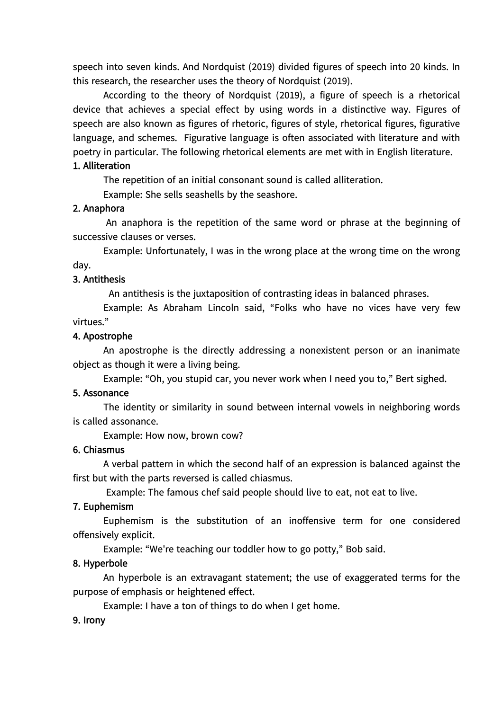speech into seven kinds. And Nordquist (2019) divided figures of speech into 20 kinds. In this research, the researcher uses the theory of Nordquist (2019).

According to the theory of Nordquist (2019), a figure of speech is a rhetorical device that achieves a special effect by using words in a distinctive way. Figures of speech are also known as figures of rhetoric, figures of style, rhetorical figures, figurative language, and schemes. Figurative language is often associated with literature and with poetry in particular. The following rhetorical elements are met with in English literature.

### **1. Alliteration**

The repetition of an initial consonant sound is called alliteration.

Example: She sells seashells by the seashore.

## **2. Anaphora**

An anaphora is the repetition of the same word or phrase at the beginning of successive clauses or verses.

Example: Unfortunately, I was in the wrong place at the wrong time on the wrong day.

## **3. Antithesis**

An antithesis is the juxtaposition of contrasting ideas in balanced phrases.

Example: As Abraham Lincoln said, "Folks who have no vices have very few virtues."

## **4. Apostrophe**

An apostrophe is the directly addressing a nonexistent person or an inanimate object as though it were a living being.

Example: "Oh, you stupid car, you never work when I need you to," Bert sighed.

## **5. Assonance**

The identity or similarity in sound between internal vowels in neighboring words is called assonance.

Example: How now, brown cow?

### **6. Chiasmus**

A verbal pattern in which the second half of an expression is balanced against the first but with the parts reversed is called chiasmus.

Example: The famous chef said people should live to eat, not eat to live.

## **7. Euphemism**

Euphemism is the substitution of an inoffensive term for one considered offensively explicit.

Example: "We're teaching our toddler how to go potty," Bob said.

## **8. Hyperbole**

An hyperbole is an extravagant statement; the use of exaggerated terms for the purpose of emphasis or heightened effect.

Example: I have a ton of things to do when I get home.

### **9. Irony**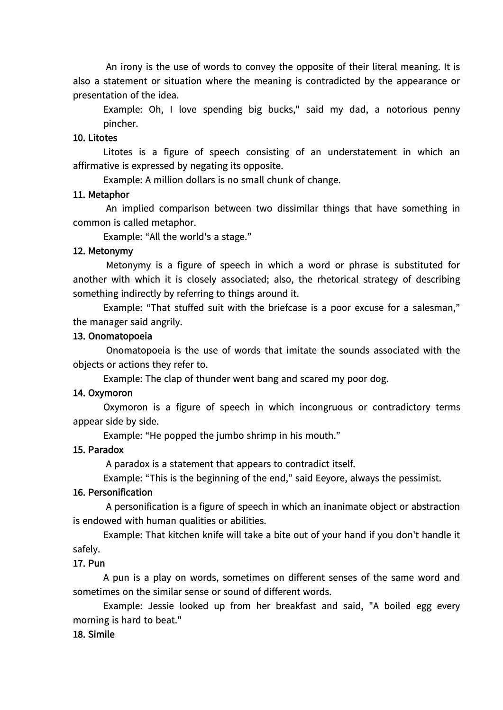An irony is the use of words to convey the opposite of their literal meaning. It is also a statement or situation where the meaning is contradicted by the appearance or presentation of the idea.

Example: Oh, I love spending big bucks," said my dad, a notorious penny pincher.

#### **10. Litotes**

Litotes is a figure of speech consisting of an understatement in which an affirmative is expressed by negating its opposite.

Example: A million dollars is no small chunk of change.

#### **11. Metaphor**

An implied comparison between two dissimilar things that have something in common is called metaphor.

Example: "All the world's a stage."

#### **12. Metonymy**

Metonymy is a figure of speech in which a word or phrase is substituted for another with which it is closely associated; also, the rhetorical strategy of describing something indirectly by referring to things around it.

Example: "That stuffed suit with the briefcase is a poor excuse for a salesman," the manager said angrily.

#### **13. Onomatopoeia**

Onomatopoeia is the use of words that imitate the sounds associated with the objects or actions they refer to.

Example: The clap of thunder went bang and scared my poor dog.

#### **14. Oxymoron**

Oxymoron is a figure of speech in which incongruous or contradictory terms appear side by side.

Example: "He popped the jumbo shrimp in his mouth."

#### **15. Paradox**

A paradox is a statement that appears to contradict itself.

Example: "This is the beginning of the end," said Eeyore, always the pessimist.

#### **16. Personification**

A personification is a figure of speech in which an inanimate object or abstraction is endowed with human qualities or abilities.

Example: That kitchen knife will take a bite out of your hand if you don't handle it safely.

#### **17. Pun**

A pun is a play on words, sometimes on different senses of the same word and sometimes on the similar sense or sound of different words.

Example: Jessie looked up from her breakfast and said, "A boiled egg every morning is hard to beat."

#### **18. Simile**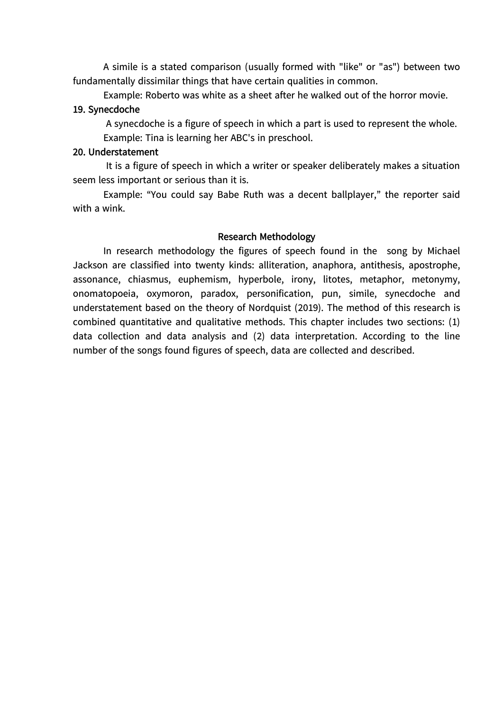A simile is a stated comparison (usually formed with "like" or "as") between two fundamentally dissimilar things that have certain qualities in common.

Example: Roberto was white as a sheet after he walked out of the horror movie.

#### **19. Synecdoche**

A synecdoche is a figure of speech in which a part is used to represent the whole. Example: Tina is learning her ABC's in preschool.

### **20. Understatement**

It is a figure of speech in which a writer or speaker deliberately makes a situation seem less important or serious than it is.

Example: "You could say Babe Ruth was a decent ballplayer," the reporter said with a wink.

### **Research Methodology**

In research methodology the figures of speech found in the song by Michael Jackson are classified into twenty kinds: alliteration, anaphora, antithesis, apostrophe, assonance, chiasmus, euphemism, hyperbole, irony, litotes, metaphor, metonymy, onomatopoeia, oxymoron, paradox, personification, pun, simile, synecdoche and understatement based on the theory of Nordquist (2019). The method of this research is combined quantitative and qualitative methods. This chapter includes two sections: (1) data collection and data analysis and (2) data interpretation. According to the line number of the songs found figures of speech, data are collected and described.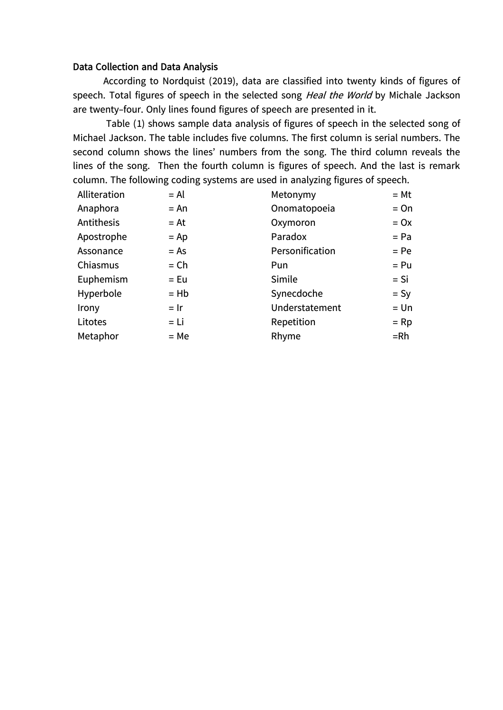#### Data Collection and Data Analysis

According to Nordquist (2019), data are classified into twenty kinds of figures of speech. Total figures of speech in the selected song Heal the World by Michale Jackson are twenty-four. Only lines found figures of speech are presented in it.

Table (1) shows sample data analysis of figures of speech in the selected song of Michael Jackson. The table includes five columns. The first column is serial numbers. The second column shows the lines' numbers from the song. The third column reveals the lines of the song. Then the fourth column is figures of speech. And the last is remark column. The following coding systems are used in analyzing figures of speech.

| Alliteration | $= AI$ | Metonymy        | $= Mt$ |
|--------------|--------|-----------------|--------|
| Anaphora     | $= An$ | Onomatopoeia    | $=$ On |
| Antithesis   | $= At$ | Oxymoron        | $= 0x$ |
| Apostrophe   | $=$ Ap | Paradox         | $= Pa$ |
| Assonance    | $= As$ | Personification | $= Pe$ |
| Chiasmus     | $=$ Ch | Pun             | $= Pu$ |
| Euphemism    | $=$ Eu | Simile          | $=$ Si |
| Hyperbole    | $=$ Hb | Synecdoche      | $= Sy$ |
| Irony        | $=$ Ir | Understatement  | $=$ Un |
| Litotes      | $= Li$ | Repetition      | $=$ Rp |
| Metaphor     | $= Me$ | Rhyme           | $=$ Rh |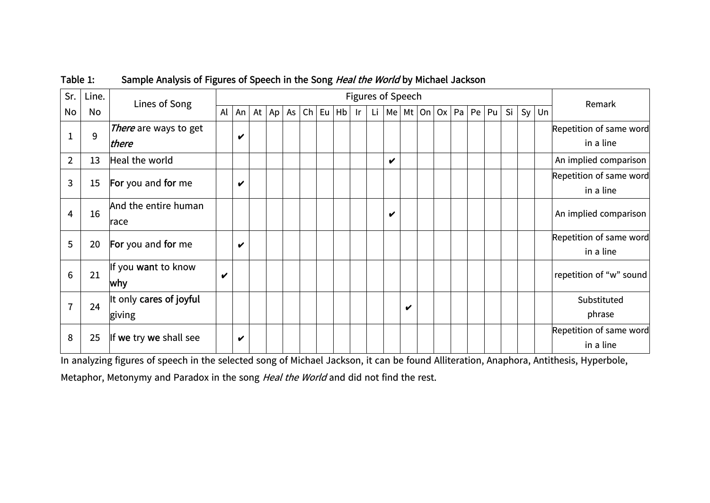| Sr.            | Line. | Lines of Song                     |    | Figures of Speech |        |    |                 |  |         |    |     | Remark                     |   |                        |    |         |    |         |                                      |
|----------------|-------|-----------------------------------|----|-------------------|--------|----|-----------------|--|---------|----|-----|----------------------------|---|------------------------|----|---------|----|---------|--------------------------------------|
| No             | No    |                                   | Al | An $ $            | At $ $ | Ap | As <sub>1</sub> |  | ch   Eu | Hb | lr. |                            |   | Li   Me   Mt   On   Ox | Pa | Pe   Pu | Si | $Sy$ Un |                                      |
|                | 9     | There are ways to get<br>there    |    | V                 |        |    |                 |  |         |    |     |                            |   |                        |    |         |    |         | Repetition of same word<br>in a line |
| $\overline{2}$ | 13    | Heal the world                    |    |                   |        |    |                 |  |         |    |     | $\boldsymbol{\mathcal{U}}$ |   |                        |    |         |    |         | An implied comparison                |
| 3              | 15    | For you and for me                |    | V                 |        |    |                 |  |         |    |     |                            |   |                        |    |         |    |         | Repetition of same word<br>in a line |
| 4              | 16    | And the entire human<br>race      |    |                   |        |    |                 |  |         |    |     | V                          |   |                        |    |         |    |         | An implied comparison                |
| 5              | 20    | For you and for me                |    | V                 |        |    |                 |  |         |    |     |                            |   |                        |    |         |    |         | Repetition of same word<br>in a line |
| 6              | 21    | If you want to know<br>why        | V  |                   |        |    |                 |  |         |    |     |                            |   |                        |    |         |    |         | repetition of "w" sound              |
| 7              | 24    | It only cares of joyful<br>giving |    |                   |        |    |                 |  |         |    |     |                            | V |                        |    |         |    |         | Substituted<br>phrase                |
| 8              | 25    | If we try we shall see            |    | v                 |        |    |                 |  |         |    |     |                            |   |                        |    |         |    |         | Repetition of same word<br>in a line |

## **Table 1: Sample Analysis of Figures of Speech in the Song Heal the World by Michael Jackson**

In analyzing figures of speech in the selected song of Michael Jackson, it can be found Alliteration, Anaphora, Antithesis, Hyperbole, Metaphor, Metonymy and Paradox in the song Heal the World and did not find the rest.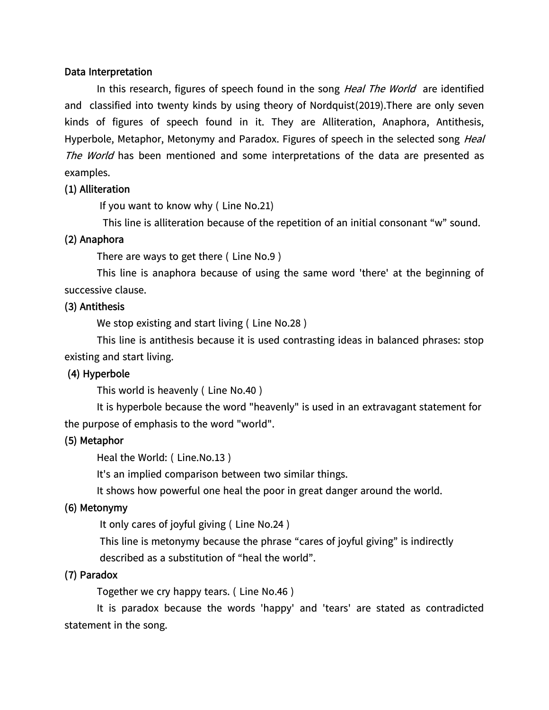### **Data Interpretation**

In this research, figures of speech found in the song *Heal The World* are identified and classified into twenty kinds by using theory of Nordquist(2019).There are only seven kinds of figures of speech found in it. They are Alliteration, Anaphora, Antithesis, Hyperbole, Metaphor, Metonymy and Paradox. Figures of speech in the selected song Heal The World has been mentioned and some interpretations of the data are presented as examples.

### **(1) Alliteration**

If you want to know why ( Line No.21)

This line is alliteration because of the repetition of an initial consonant "w" sound.

### **(2) Anaphora**

There are ways to get there ( Line No.9 )

This line is anaphora because of using the same word 'there' at the beginning of successive clause.

### **(3) Antithesis**

We stop existing and start living ( Line No.28 )

This line is antithesis because it is used contrasting ideas in balanced phrases: stop existing and start living.

### **(4) Hyperbole**

This world is heavenly ( Line No.40 )

It is hyperbole because the word "heavenly" is used in an extravagant statement for the purpose of emphasis to the word "world".

### **(5) Metaphor**

Heal the World: ( Line.No.13 )

It's an implied comparison between two similar things.

It shows how powerful one heal the poor in great danger around the world.

### **(6) Metonymy**

It only cares of joyful giving ( Line No.24 )

This line is metonymy because the phrase "cares of joyful giving" is indirectly described as a substitution of "heal the world".

### **(7) Paradox**

Together we cry happy tears. ( Line No.46 )

It is paradox because the words 'happy' and 'tears' are stated as contradicted statement in the song.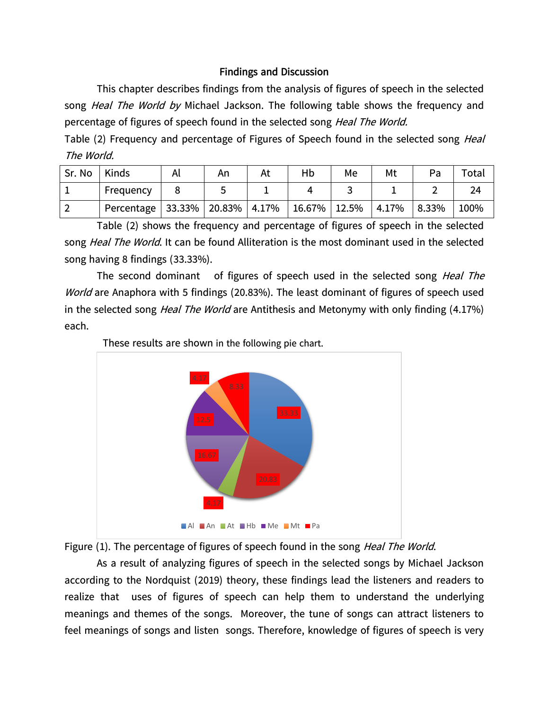## **Findings and Discussion**

This chapter describes findings from the analysis of figures of speech in the selected song Heal The World by Michael Jackson. The following table shows the frequency and percentage of figures of speech found in the selected song Heal The World.

Table (2) Frequency and percentage of Figures of Speech found in the selected song *Heal* The World.

| Sr. No | Kinds                                | Αı | An | At | Hb                | Me | Mt    | Pa       | Total |
|--------|--------------------------------------|----|----|----|-------------------|----|-------|----------|-------|
|        | Frequency                            |    |    |    |                   |    |       |          | 24    |
|        | Percentage   33.33%   20.83%   4.17% |    |    |    | $ 16.67\% 12.5\%$ |    | 4.17% | $8.33\%$ | 100%  |

Table (2) shows the frequency and percentage of figures of speech in the selected song Heal The World. It can be found Alliteration is the most dominant used in the selected song having 8 findings (33.33%).

The second dominant of figures of speech used in the selected song Heal The World are Anaphora with 5 findings (20.83%). The least dominant of figures of speech used in the selected song *Heal The World* are Antithesis and Metonymy with only finding (4.17%) each.



These results are shown in the following pie chart.

Figure (1). The percentage of figures of speech found in the song Heal The World.

As a result of analyzing figures of speech in the selected songs by Michael Jackson according to the Nordquist (2019) theory, these findings lead the listeners and readers to realize that uses of figures of speech can help them to understand the underlying meanings and themes of the songs. Moreover, the tune of songs can attract listeners to feel meanings of songs and listen songs. Therefore, knowledge of figures of speech is very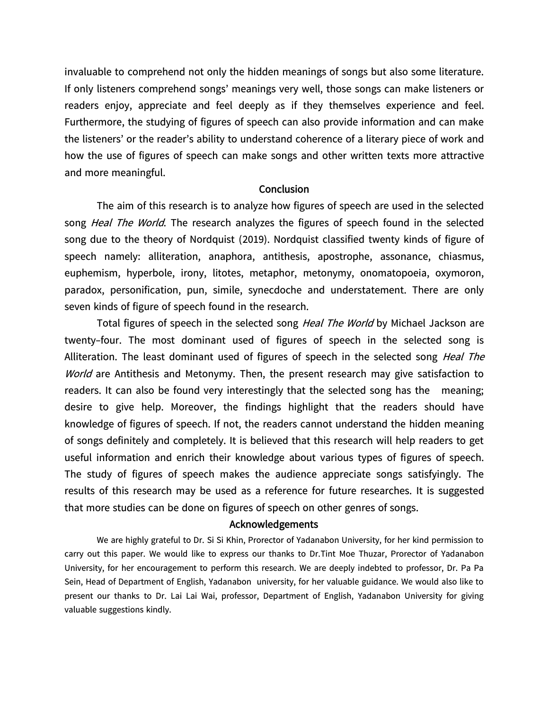invaluable to comprehend not only the hidden meanings of songs but also some literature. If only listeners comprehend songs' meanings very well, those songs can make listeners or readers enjoy, appreciate and feel deeply as if they themselves experience and feel. Furthermore, the studying of figures of speech can also provide information and can make the listeners' or the reader's ability to understand coherence of a literary piece of work and how the use of figures of speech can make songs and other written texts more attractive and more meaningful.

#### **Conclusion**

The aim of this research is to analyze how figures of speech are used in the selected song *Heal The World*. The research analyzes the figures of speech found in the selected song due to the theory of Nordquist (2019). Nordquist classified twenty kinds of figure of speech namely: alliteration, anaphora, antithesis, apostrophe, assonance, chiasmus, euphemism, hyperbole, irony, litotes, metaphor, metonymy, onomatopoeia, oxymoron, paradox, personification, pun, simile, synecdoche and understatement. There are only seven kinds of figure of speech found in the research.

Total figures of speech in the selected song Heal The World by Michael Jackson are twenty-four. The most dominant used of figures of speech in the selected song is Alliteration. The least dominant used of figures of speech in the selected song *Heal The* World are Antithesis and Metonymy. Then, the present research may give satisfaction to readers. It can also be found very interestingly that the selected song has the meaning; desire to give help. Moreover, the findings highlight that the readers should have knowledge of figures of speech. If not, the readers cannot understand the hidden meaning of songs definitely and completely. It is believed that this research will help readers to get useful information and enrich their knowledge about various types of figures of speech. The study of figures of speech makes the audience appreciate songs satisfyingly. The results of this research may be used as a reference for future researches. It is suggested that more studies can be done on figures of speech on other genres of songs.

#### **Acknowledgements**

We are highly grateful to Dr. Si Si Khin, Prorector of Yadanabon University, for her kind permission to carry out this paper. We would like to express our thanks to Dr.Tint Moe Thuzar, Prorector of Yadanabon University, for her encouragement to perform this research. We are deeply indebted to professor, Dr. Pa Pa Sein, Head of Department of English, Yadanabon university, for her valuable guidance. We would also like to present our thanks to Dr. Lai Lai Wai, professor, Department of English, Yadanabon University for giving valuable suggestions kindly.